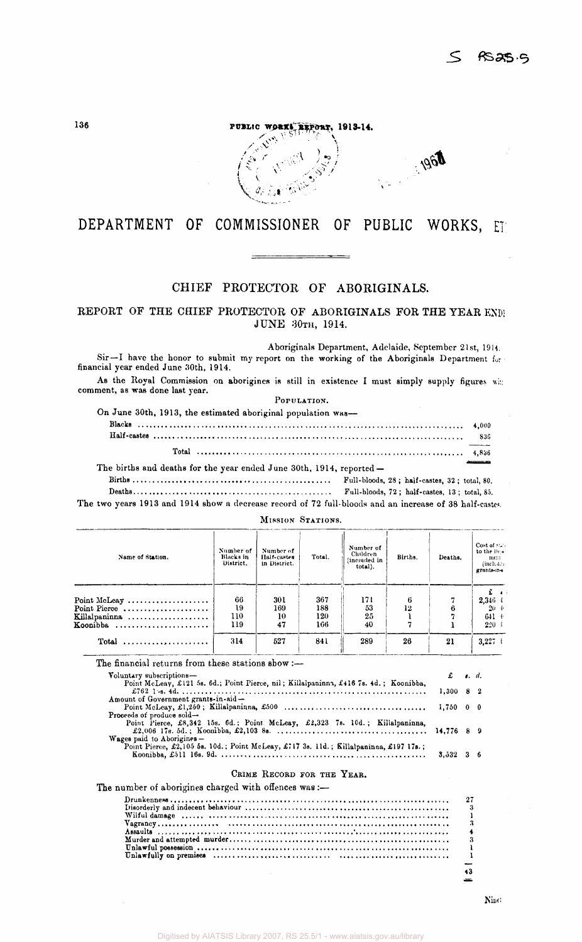

# DEPARTMENT OF COMMISSIONER OF PUBLIC WORKS, ET

## CHIEF PROTECTOR OF ABORIGINALS.

REPORT OF THE CHIEF PROTECTOR OF ABORIGINALS FOR THE YEAR END! JUNE 30TH, 1914.

Aboriginals Department, Adelaide, September 21st, 1914. Sir —I have the honor to submit my report on the working of the Aboriginals Department for financial year ended June 30th, 1914.

As the Royal Commission on aborigines is still in existence I must simply supply figures wit: comment, as was done last year.

POPULATION.

| On June 30th, 1913, the estimated aboriginal population was— |  |
|--------------------------------------------------------------|--|
|--------------------------------------------------------------|--|

 $\mathbf{r}$ 

| The births and deaths for the year ended June 30th, 1914, reported - |  |
|----------------------------------------------------------------------|--|

Births Full-bloods, 28 ; half-castes, 32 ; total, 80. Deaths Full-bloods, 72 ; half-castes, 13 ; total, 8,5.

MISSION STATIONS.

The two years 1913 and 1914 show a decrease record of 72 full-bloods and an increase of 38 half-castes.

| Name of Station. | Number of<br>Blacks in<br>District. | Number of<br>Half-castes<br>in District. | Total. | Number of<br>Children<br>(included in<br>total). | Births. | Deaths. | Cost of $\sum$ .<br>to the Dear<br>ment<br>(includes)<br>grants-in- |
|------------------|-------------------------------------|------------------------------------------|--------|--------------------------------------------------|---------|---------|---------------------------------------------------------------------|
|                  | 66                                  |                                          | 367    |                                                  |         |         |                                                                     |
| Point McLeay     | 19                                  | 301<br>169                               | 188    | 171<br>53                                        | 6<br>12 |         | $2,346$ (                                                           |
| Point Pierce     |                                     |                                          |        |                                                  |         |         | $20 - 6$                                                            |
| Killalpaninna    | 110                                 | 10                                       | 120    | 25                                               |         |         | $641$ $\pm$                                                         |
| Koonibba         | 119                                 | 47                                       | 166    | 40                                               |         |         | 220                                                                 |
|                  | 314                                 | 527                                      | 841    | 289                                              | 26      | 21      | $3.227$ t                                                           |

| The financial returns from these stations show :-                                     |                                          |  |
|---------------------------------------------------------------------------------------|------------------------------------------|--|
| Voluntary subscriptions-                                                              | $\mathbf{f}$ $\mathbf{g}$ $\mathbf{d}$ . |  |
| Point McLeay, £121 5s. 6d.; Point Pierce, nil; Killalpaninna, £416 7s. 4d.; Koonibba, |                                          |  |
|                                                                                       | $1,300$ 8 2                              |  |
| Amount of Government grants-in-aid-                                                   |                                          |  |
|                                                                                       |                                          |  |
| Proceeds of produce sold-                                                             |                                          |  |
| Point Pierce, £8,342 15s. 6d.; Point McLeay, £2,323 7s. 10d.; Killalpaninna,          |                                          |  |
|                                                                                       |                                          |  |
| <b>Wages</b> paid to Aborigines $-$                                                   |                                          |  |
| Point Pierce, £2,105 5s. 10d.; Point McLeay, £717 3s. 11d.; Killalpaninaa, £197 17s.; |                                          |  |
|                                                                                       | $3.532 \quad 36$                         |  |
|                                                                                       |                                          |  |

#### CRIME RECORD FOR THE YEAR.

The number of aborigines charged with offences was :-

**43**